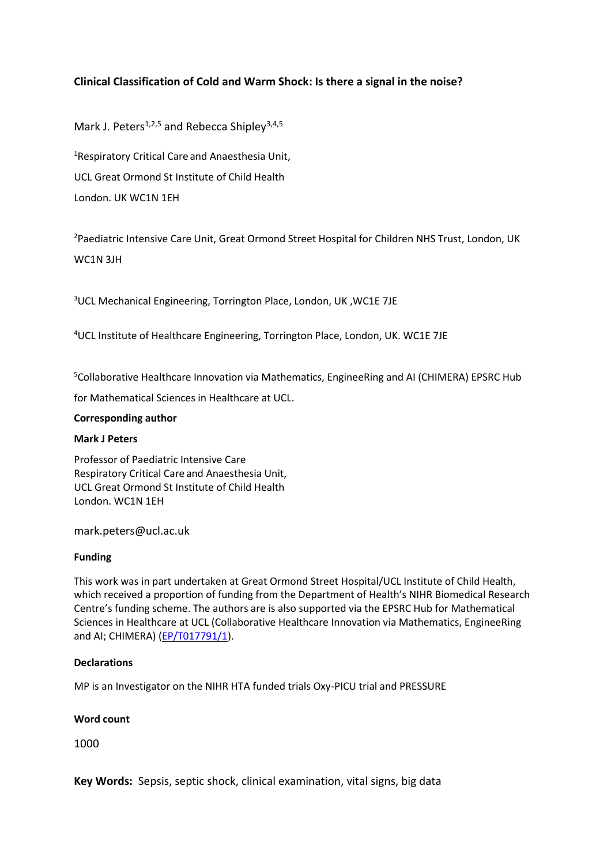## **Clinical Classification of Cold and Warm Shock: Is there a signal in the noise?**

Mark J. Peters<sup>1,2,5</sup> and Rebecca Shipley<sup>3,4,5</sup>

<sup>1</sup>Respiratory Critical Care and Anaesthesia Unit, UCL Great Ormond St Institute of Child Health London. UK WC1N 1EH

<sup>2</sup>Paediatric Intensive Care Unit, Great Ormond Street Hospital for Children NHS Trust, London, UK WC1N 3JH

<sup>3</sup>UCL Mechanical Engineering, Torrington Place, London, UK ,WC1E 7JE

<sup>4</sup>UCL Institute of Healthcare Engineering, Torrington Place, London, UK. WC1E 7JE

<sup>5</sup>Collaborative Healthcare Innovation via Mathematics, EngineeRing and AI (CHIMERA) EPSRC Hub

for Mathematical Sciences in Healthcare at UCL.

#### **Corresponding author**

#### **Mark J Peters**

Professor of Paediatric Intensive Care Respiratory Critical Care and Anaesthesia Unit, UCL Great Ormond St Institute of Child Health London. WC1N 1EH

mark.peters@ucl.ac.uk

#### **Funding**

This work was in part undertaken at Great Ormond Street Hospital/UCL Institute of Child Health, which received a proportion of funding from the Department of Health's NIHR Biomedical Research Centre's funding scheme. The authors are is also supported via the EPSRC Hub for Mathematical Sciences in Healthcare at UCL (Collaborative Healthcare Innovation via Mathematics, EngineeRing and AI; CHIMERA) [\(EP/T017791/1\)](https://gow.epsrc.ukri.org/NGBOViewGrant.aspx?GrantRef=EP/T017791/1).

#### **Declarations**

MP is an Investigator on the NIHR HTA funded trials Oxy-PICU trial and PRESSURE

#### **Word count**

1000

**Key Words:** Sepsis, septic shock, clinical examination, vital signs, big data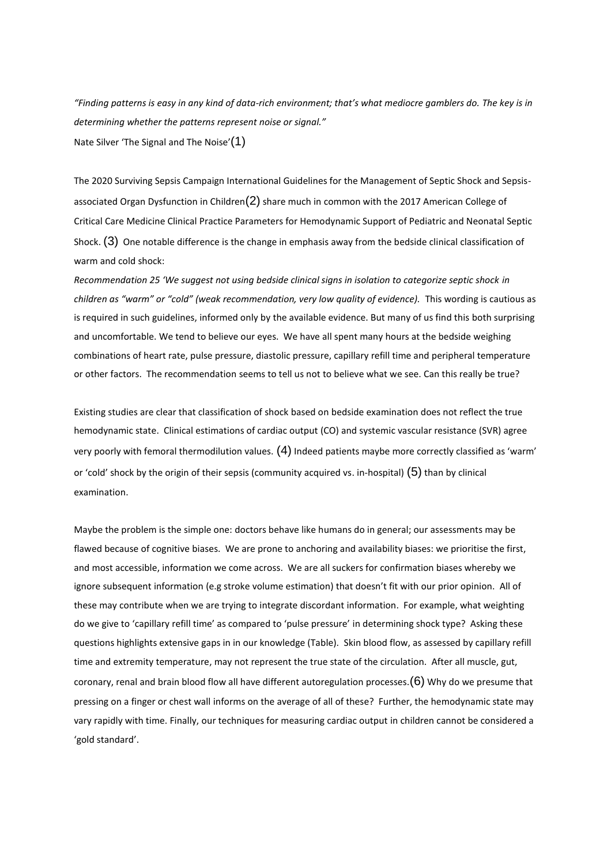*"Finding patterns is easy in any kind of data-rich environment; that's what mediocre gamblers do. The key is in determining whether the patterns represent noise or signal."* Nate Silver 'The Signal and The Noise'(1)

The 2020 Surviving Sepsis Campaign International Guidelines for the Management of Septic Shock and Sepsisassociated Organ Dysfunction in Children $(2)$  share much in common with the 2017 American College of Critical Care Medicine Clinical Practice Parameters for Hemodynamic Support of Pediatric and Neonatal Septic Shock.  $(3)$  One notable difference is the change in emphasis away from the bedside clinical classification of warm and cold shock:

*Recommendation 25 'We suggest not using bedside clinical signs in isolation to categorize septic shock in children as "warm" or "cold" (weak recommendation, very low quality of evidence).* This wording is cautious as is required in such guidelines, informed only by the available evidence. But many of us find this both surprising and uncomfortable. We tend to believe our eyes. We have all spent many hours at the bedside weighing combinations of heart rate, pulse pressure, diastolic pressure, capillary refill time and peripheral temperature or other factors. The recommendation seems to tell us not to believe what we see. Can this really be true?

Existing studies are clear that classification of shock based on bedside examination does not reflect the true hemodynamic state. Clinical estimations of cardiac output (CO) and systemic vascular resistance (SVR) agree very poorly with femoral thermodilution values. (4) Indeed patients maybe more correctly classified as 'warm' or 'cold' shock by the origin of their sepsis (community acquired vs. in-hospital)  $(5)$  than by clinical examination.

Maybe the problem is the simple one: doctors behave like humans do in general; our assessments may be flawed because of cognitive biases. We are prone to anchoring and availability biases: we prioritise the first, and most accessible, information we come across. We are all suckers for confirmation biases whereby we ignore subsequent information (e.g stroke volume estimation) that doesn't fit with our prior opinion. All of these may contribute when we are trying to integrate discordant information. For example, what weighting do we give to 'capillary refill time' as compared to 'pulse pressure' in determining shock type? Asking these questions highlights extensive gaps in in our knowledge (Table). Skin blood flow, as assessed by capillary refill time and extremity temperature, may not represent the true state of the circulation. After all muscle, gut, coronary, renal and brain blood flow all have different autoregulation processes. $(6)$  Why do we presume that pressing on a finger or chest wall informs on the average of all of these? Further, the hemodynamic state may vary rapidly with time. Finally, our techniques for measuring cardiac output in children cannot be considered a 'gold standard'.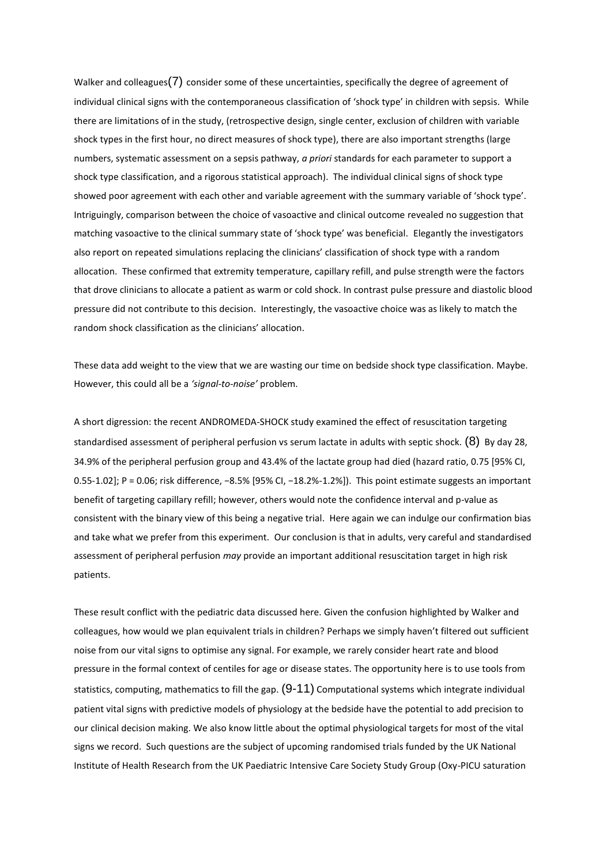Walker and colleagues $(7)$  consider some of these uncertainties, specifically the degree of agreement of individual clinical signs with the contemporaneous classification of 'shock type' in children with sepsis. While there are limitations of in the study, (retrospective design, single center, exclusion of children with variable shock types in the first hour, no direct measures of shock type), there are also important strengths (large numbers, systematic assessment on a sepsis pathway, *a priori* standards for each parameter to support a shock type classification, and a rigorous statistical approach). The individual clinical signs of shock type showed poor agreement with each other and variable agreement with the summary variable of 'shock type'. Intriguingly, comparison between the choice of vasoactive and clinical outcome revealed no suggestion that matching vasoactive to the clinical summary state of 'shock type' was beneficial. Elegantly the investigators also report on repeated simulations replacing the clinicians' classification of shock type with a random allocation. These confirmed that extremity temperature, capillary refill, and pulse strength were the factors that drove clinicians to allocate a patient as warm or cold shock. In contrast pulse pressure and diastolic blood pressure did not contribute to this decision. Interestingly, the vasoactive choice was as likely to match the random shock classification as the clinicians' allocation.

These data add weight to the view that we are wasting our time on bedside shock type classification. Maybe. However, this could all be a *'signal-to-noise'* problem.

A short digression: the recent ANDROMEDA-SHOCK study examined the effect of resuscitation targeting standardised assessment of peripheral perfusion vs serum lactate in adults with septic shock.  $(8)$  By day 28, 34.9% of the peripheral perfusion group and 43.4% of the lactate group had died (hazard ratio, 0.75 [95% CI, 0.55-1.02]; P = 0.06; risk difference, −8.5% [95% CI, −18.2%-1.2%]). This point estimate suggests an important benefit of targeting capillary refill; however, others would note the confidence interval and p-value as consistent with the binary view of this being a negative trial. Here again we can indulge our confirmation bias and take what we prefer from this experiment. Our conclusion is that in adults, very careful and standardised assessment of peripheral perfusion *may* provide an important additional resuscitation target in high risk patients.

These result conflict with the pediatric data discussed here. Given the confusion highlighted by Walker and colleagues, how would we plan equivalent trials in children? Perhaps we simply haven't filtered out sufficient noise from our vital signs to optimise any signal. For example, we rarely consider heart rate and blood pressure in the formal context of centiles for age or disease states. The opportunity here is to use tools from statistics, computing, mathematics to fill the gap.  $(9-11)$  Computational systems which integrate individual patient vital signs with predictive models of physiology at the bedside have the potential to add precision to our clinical decision making. We also know little about the optimal physiological targets for most of the vital signs we record. Such questions are the subject of upcoming randomised trials funded by the UK National Institute of Health Research from the UK Paediatric Intensive Care Society Study Group (Oxy-PICU saturation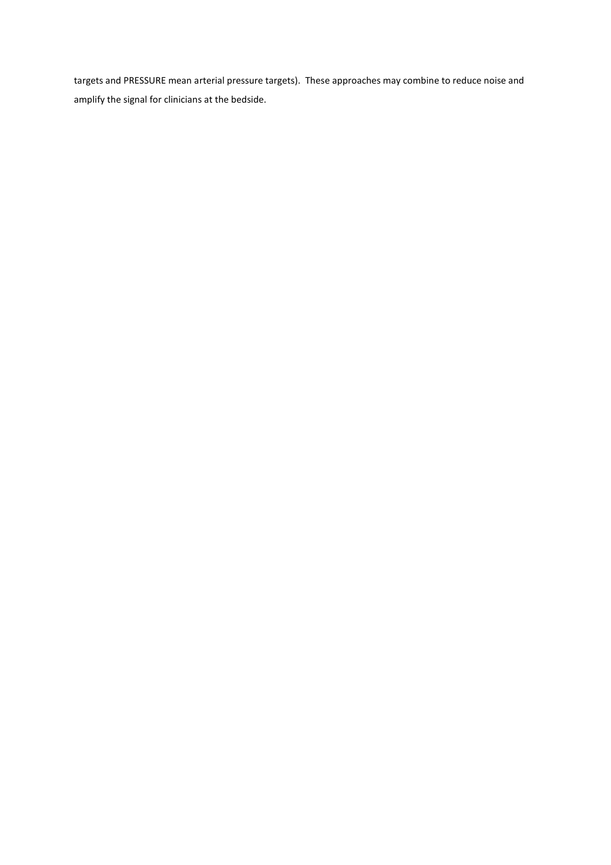targets and PRESSURE mean arterial pressure targets). These approaches may combine to reduce noise and amplify the signal for clinicians at the bedside.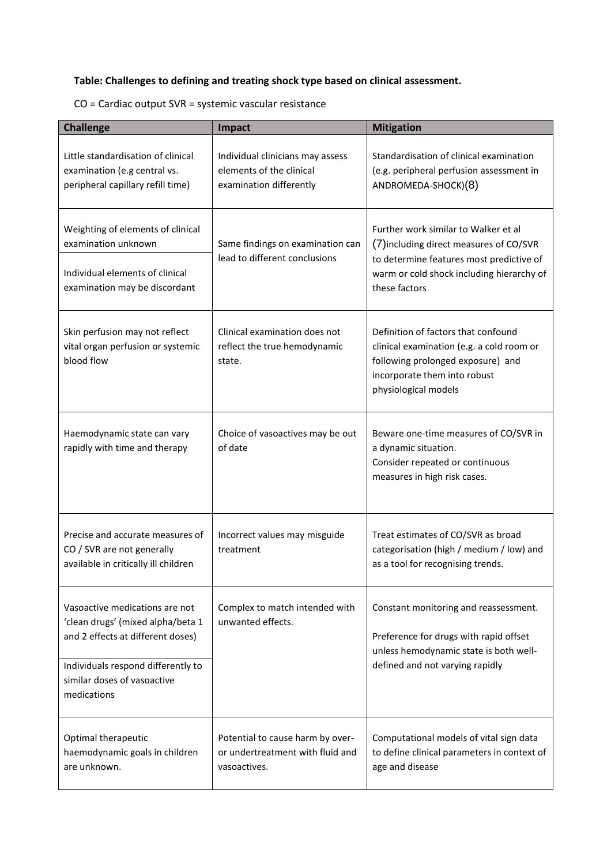# **Table: Challenges to defining and treating shock type based on clinical assessment.**

| CO = Cardiac output SVR = systemic vascular resistance |  |  |
|--------------------------------------------------------|--|--|
|--------------------------------------------------------|--|--|

| <b>Challenge</b>                                                                                                                                                                             | Impact                                                                                  | <b>Mitigation</b>                                                                                                                                                                         |
|----------------------------------------------------------------------------------------------------------------------------------------------------------------------------------------------|-----------------------------------------------------------------------------------------|-------------------------------------------------------------------------------------------------------------------------------------------------------------------------------------------|
| Little standardisation of clinical<br>examination (e.g central vs.<br>peripheral capillary refill time)                                                                                      | Individual clinicians may assess<br>elements of the clinical<br>examination differently | Standardisation of clinical examination<br>(e.g. peripheral perfusion assessment in<br>ANDROMEDA-SHOCK)(8)                                                                                |
| Weighting of elements of clinical<br>examination unknown<br>Individual elements of clinical<br>examination may be discordant                                                                 | Same findings on examination can<br>lead to different conclusions                       | Further work similar to Walker et al<br>(7) including direct measures of CO/SVR<br>to determine features most predictive of<br>warm or cold shock including hierarchy of<br>these factors |
| Skin perfusion may not reflect<br>vital organ perfusion or systemic<br>blood flow                                                                                                            | Clinical examination does not<br>reflect the true hemodynamic<br>state.                 | Definition of factors that confound<br>clinical examination (e.g. a cold room or<br>following prolonged exposure) and<br>incorporate them into robust<br>physiological models             |
| Haemodynamic state can vary<br>rapidly with time and therapy                                                                                                                                 | Choice of vasoactives may be out<br>of date                                             | Beware one-time measures of CO/SVR in<br>a dynamic situation.<br>Consider repeated or continuous<br>measures in high risk cases.                                                          |
| Precise and accurate measures of<br>CO / SVR are not generally<br>available in critically ill children                                                                                       | Incorrect values may misguide<br>treatment                                              | Treat estimates of CO/SVR as broad<br>categorisation (high / medium / low) and<br>as a tool for recognising trends.                                                                       |
| Vasoactive medications are not<br>'clean drugs' (mixed alpha/beta 1<br>and 2 effects at different doses)<br>Individuals respond differently to<br>similar doses of vasoactive<br>medications | Complex to match intended with<br>unwanted effects.                                     | Constant monitoring and reassessment.<br>Preference for drugs with rapid offset<br>unless hemodynamic state is both well-<br>defined and not varying rapidly                              |
| Optimal therapeutic<br>haemodynamic goals in children<br>are unknown.                                                                                                                        | Potential to cause harm by over-<br>or undertreatment with fluid and<br>vasoactives.    | Computational models of vital sign data<br>to define clinical parameters in context of<br>age and disease                                                                                 |